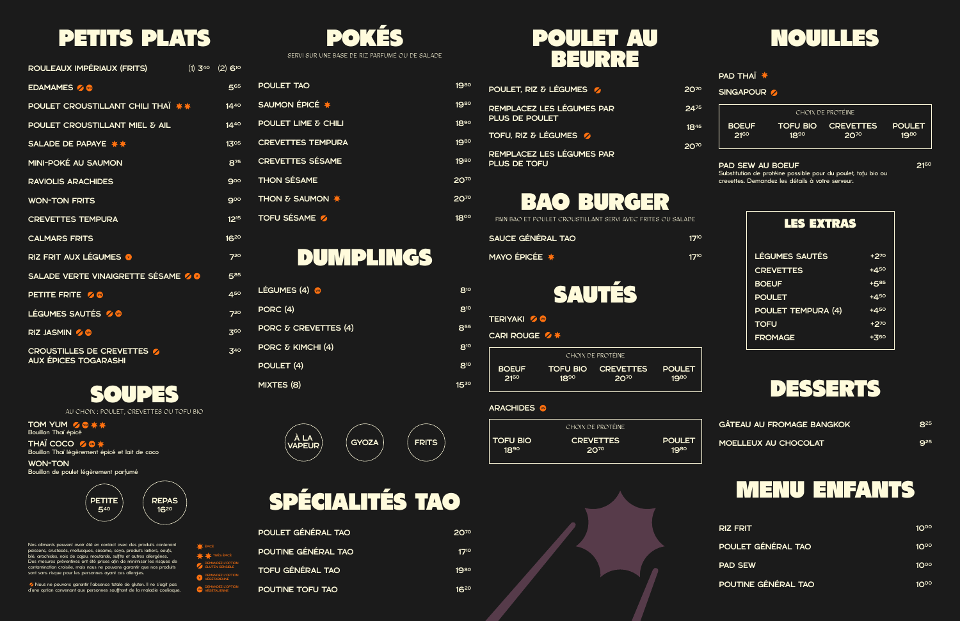



### **PAD THAÏ <del>★</del>**

### SINGAPOUR

### DESSERTS





**TERIYAKI** 20

CARI ROUGE **⁄\*** 

## SPÉCIALITÉS TAO

| POULET GÉNÉRAL TAO      |  |
|-------------------------|--|
| POUTINE GÉNÉRAL TAO     |  |
| <b>TOFU GÉNÉRAL TAO</b> |  |
| POUTINE TOFU TAO        |  |

# **POULET AU<br>BEURRE**

SOUPES

Nos aliments peuvent avoir été en contact avec des produits contenant poissons, crustacés, mollusques, sésame, soya, produits laitiers, oeufs, blé, arachides, noix de cajou, moutarde, sulfite et autres allergènes. Des mesures préventives ont été prises afin de minimiser les risques de contamination croisée, mais nous ne pouvons garantir que nos produits sont sans risque pour les personnes ayant ces allergies.

TOM YUM Z & \* \* Bouillon Thaï épicé

CROUSTILLES DE CREVETTES AUX ÉPICES TOGARASHI

Nous ne pouvons garantir l'absence totale de gluten. Il ne s'agit pas d'une option convenant aux personnes souffrant de la maladie coeliaque.

THAÏ COCO Bouillon Thaï légèrement épicé et lait de coco

> **\*** TRÈS ÉPICÉ ÉPICÉ

WON-TON Bouillon de poulet légèrement parfumé

> **PETITE** 540 REPAS 1620

## PETITS PLATS POKÉS

| ROULEAUX IMPÉRIAUX (FRITS)         | $(1)$ 3 <sup>40</sup> (2) 6 <sup>10</sup> |
|------------------------------------|-------------------------------------------|
| EDAMAMES 2                         | 565                                       |
| POULET CROUSTILLANT CHILI THAÏ **  | $14^{40}$                                 |
| POULET CROUSTILLANT MIEL & AIL     | $14^{40}$                                 |
| SALADE DE PAPAYE **                | 1305                                      |
| MINI-POKÉ AU SAUMON                | 875                                       |
| <b>RAVIOLIS ARACHIDES</b>          | 900                                       |
| <b>WON-TON FRITS</b>               | 900                                       |
| <b>CREVETTES TEMPURA</b>           | 12 <sup>15</sup>                          |
| <b>CALMARS FRITS</b>               | 1620                                      |
| RIZ FRIT AUX LÉGUMES <sup>0</sup>  | 720                                       |
| SALADE VERTE VINAIGRETTE SÉSAME 20 | 585                                       |
| <b>PETITE FRITE % ®</b>            | 450                                       |
| LÉGUMES SAUTÉS 2                   | $7^{20}$                                  |
| RIZ JASMIN Z                       | 360                                       |

PAIN BAO ET POULET CROUSTILLANT SERVI AVEC FRITES OU SALADE SAUCE GÉNÉRAL TAO  $17^{10}$ 

| LÉGUMES (4)          |
|----------------------|
| PORC(4)              |
| PORC & CREVETTES (4) |
| PORC & KIMCHI (4)    |
| POULET (4)           |
| MIXTES (8)           |

| 5  | <b>POULET TAO</b>          |
|----|----------------------------|
| J. | SAUMON ÉPICÉ *             |
|    | POULET LIME & CHILI        |
| 5. | <b>CREVETTES TEMPURA</b>   |
| 5  | <b>CREVETTES SÉSAME</b>    |
|    | <b>THON SÉSAME</b>         |
|    | <b>THON &amp; SAUMON *</b> |
| 5  | <b>TOFU SÉSAME 2</b>       |

MAYO ÉPICÉE 1710

340

1980

810

1980

810

1890

855

1980

810

1980

810

2070

1530

2070

1800

DEMANDEZ L'OPTION GLUTEN SENSIBLE DEMANDEZ L'OPTION VÉGÉTARIENNE DEMANDEZ L'OPTION VÉGÉTALIENNE

AU CHOIX : POULET, CREVETTES OU TOFU BIO

SERVI SUR UNE BASE DE RIZ PARFUMÉ OU DE SALADE

|              |           | CHOIX DE PROTÉINE         |               |
|--------------|-----------|---------------------------|---------------|
| <b>BOEUF</b> | $18^{90}$ | <b>TOFU BIO CREVETTES</b> | <b>POULET</b> |
| $21^{60}$    |           | <b>20<sup>70</sup></b>    | 1980          |

### **ARACHIDES**

|                 | CHOIX DE PROTÉINE |               |
|-----------------|-------------------|---------------|
| <b>TOFU BIO</b> | <b>CREVETTES</b>  | <b>POULET</b> |
| $18^{90}$       | 2070              | 1980          |



| <b>GÂTEAU AU FROMAGE BANGKOK</b> | $R^{25}$   |
|----------------------------------|------------|
| MOELLEUX AU CHOCOLAT             | <b>925</b> |

| 2070             | <b>RIZ FRIT</b>     | 10 <sup>00</sup> |
|------------------|---------------------|------------------|
| $17^{10}$        | POULET GÉNÉRAL TAO  | 10 <sup>00</sup> |
| 19 <sup>80</sup> | <b>PAD SEW</b>      | 10 <sup>00</sup> |
| 1620             | POUTINE GÉNÉRAL TAO | 10 <sup>00</sup> |

| POULET, RIZ & LÉGUMES                              | 200       |
|----------------------------------------------------|-----------|
| REMPLACEZ LES LÉGUMES PAR<br><b>PLUS DE POULET</b> | 24/5      |
| TOFU, RIZ & LÉGUMES                                | $18^{45}$ |
| REMPLACEZ LES LÉGUMES PAR<br><b>PLUS DE TOFU</b>   | 2019      |

### PAD SEW AU BOEUF

Substitution de protéine possible pour du poulet, tofu bio ou crevettes. Demandez les détails à votre serveur.

**2160** 

| CHOIX DE PROTÉINE |           |                    |               |
|-------------------|-----------|--------------------|---------------|
| <b>BOEUF</b>      | $18^{90}$ | TOFU BIO CREVETTES | <b>POULET</b> |
| 21 <sup>60</sup>  |           | <b>2079</b>        | 1980          |

| <b>LES EXTRAS</b>     |              |
|-----------------------|--------------|
| <b>LÉGUMES SAUTÉS</b> | +270         |
| <b>CREVETTES</b>      | $+4^{50}$    |
| <b>BOEUF</b>          | $+5^{85}$    |
| <b>POULET</b>         | $+4^{50}$    |
| POULET TEMPURA (4)    | +450         |
| <b>TOFU</b>           | +270         |
| <b>FROMAGE</b>        | <u> +3eo</u> |

## DUMPLINGS